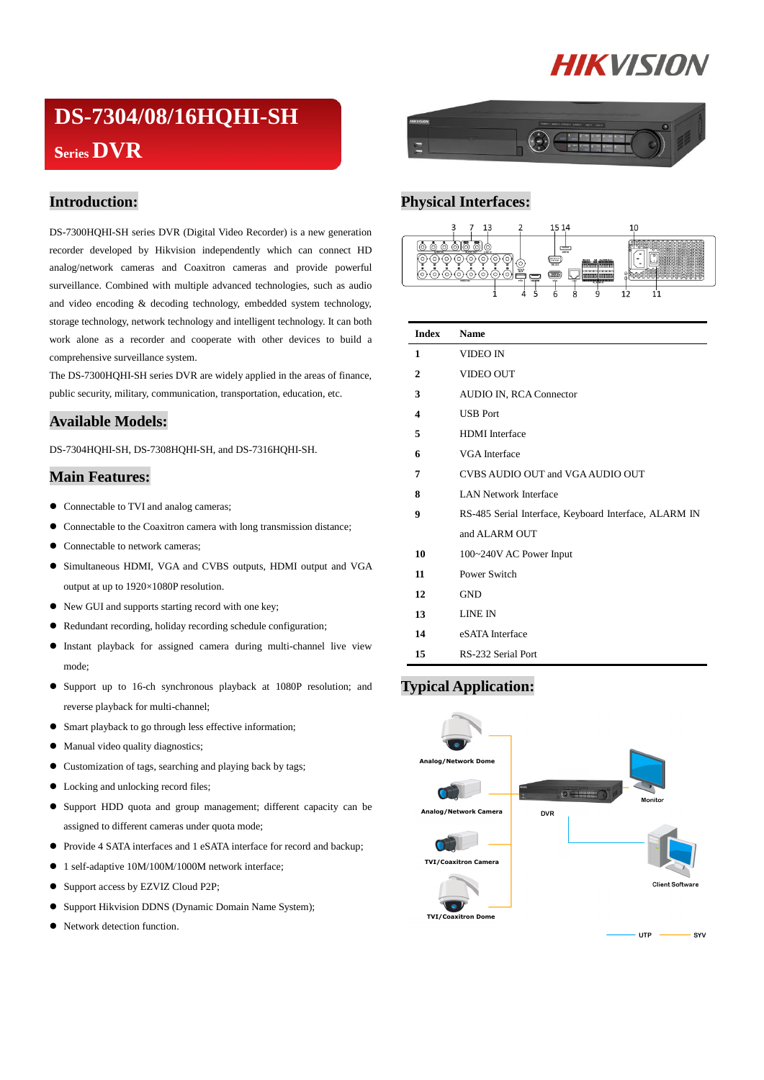# **HIKVISION**

## **DS-7304/08/16HQHI-SH seriesDVR**

#### **Introduction:**

DS-7300HQHI-SH series DVR (Digital Video Recorder) is a new generation recorder developed by Hikvision independently which can connect HD analog/network cameras and Coaxitron cameras and provide powerful surveillance. Combined with multiple advanced technologies, such as audio and video encoding & decoding technology, embedded system technology, storage technology, network technology and intelligent technology. It can both work alone as a recorder and cooperate with other devices to build a comprehensive surveillance system.

The DS-7300HQHI-SH series DVR are widely applied in the areas of finance, public security, military, communication, transportation, education, etc.

#### **Available Models:**

DS-7304HQHI-SH, DS-7308HQHI-SH, and DS-7316HQHI-SH.

#### **Main Features:**

- Connectable to TVI and analog cameras;
- Connectable to the Coaxitron camera with long transmission distance;
- Connectable to network cameras;
- Simultaneous HDMI, VGA and CVBS outputs, HDMI output and VGA output at up to 1920×1080P resolution.
- $\bullet$  New GUI and supports starting record with one key;
- Redundant recording, holiday recording schedule configuration;
- Instant playback for assigned camera during multi-channel live view mode;
- Support up to 16-ch synchronous playback at 1080P resolution; and reverse playback for multi-channel;
- Smart playback to go through less effective information;
- $\bullet$  Manual video quality diagnostics;
- Customization of tags, searching and playing back by tags;
- Locking and unlocking record files;
- Support HDD quota and group management; different capacity can be assigned to different cameras under quota mode;
- Provide 4 SATA interfaces and 1 eSATA interface for record and backup;
- 1 self-adaptive 10M/100M/1000M network interface;
- Support access by EZVIZ Cloud P2P;
- Support Hikvision DDNS (Dynamic Domain Name System);
- Network detection function.



#### **Physical Interfaces:**



| <b>Index</b>   | <b>Name</b>                                           |  |  |  |
|----------------|-------------------------------------------------------|--|--|--|
| 1              | <b>VIDEO IN</b>                                       |  |  |  |
| $\overline{2}$ | <b>VIDEO OUT</b>                                      |  |  |  |
| 3              | <b>AUDIO IN, RCA Connector</b>                        |  |  |  |
| 4              | <b>USB</b> Port                                       |  |  |  |
| 5              | <b>HDMI</b> Interface                                 |  |  |  |
| 6              | <b>VGA</b> Interface                                  |  |  |  |
| 7              | CVBS AUDIO OUT and VGA AUDIO OUT                      |  |  |  |
| 8              | <b>LAN Network Interface</b>                          |  |  |  |
| 9              | RS-485 Serial Interface, Keyboard Interface, ALARM IN |  |  |  |
|                | and ALARM OUT                                         |  |  |  |
| 10             | 100~240V AC Power Input                               |  |  |  |
| 11             | Power Switch                                          |  |  |  |
| 12             | <b>GND</b>                                            |  |  |  |
| 13             | LINE IN                                               |  |  |  |
| 14             | eSATA Interface                                       |  |  |  |
| 15             | RS-232 Serial Port                                    |  |  |  |

#### **Typical Application:**